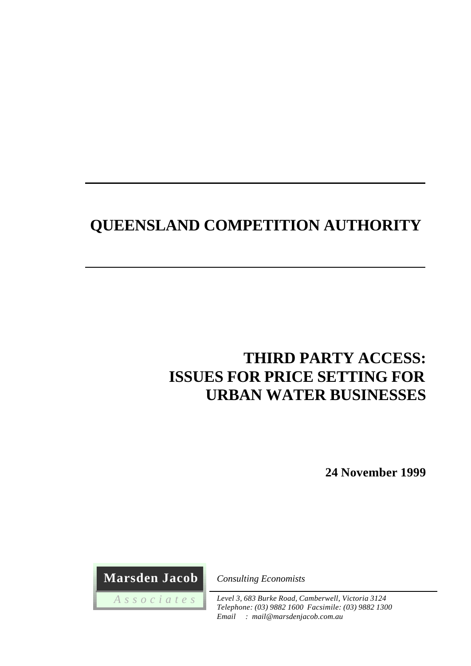# **QUEENSLAND COMPETITION AUTHORITY**

# **THIRD PARTY ACCESS: ISSUES FOR PRICE SETTING FOR URBAN WATER BUSINESSES**

**24 November 1999**

 **Marsden Jacob**

 *A s s o c i a t e s*

*Consulting Economists*

*Level 3, 683 Burke Road, Camberwell, Victoria 3124 Telephone: (03) 9882 1600 Facsimile: (03) 9882 1300 Email : mail@marsdenjacob.com.au*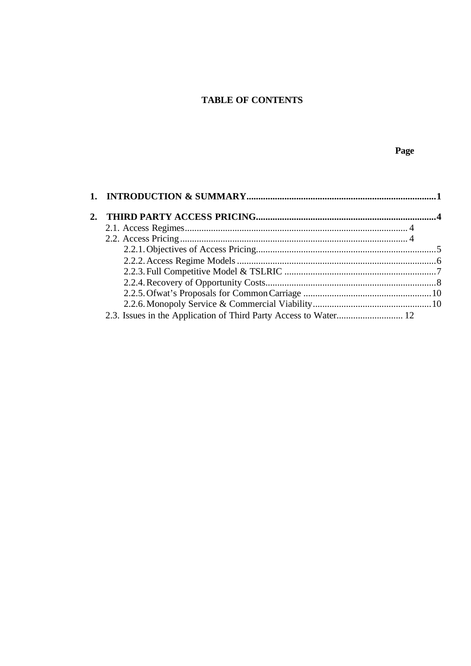# **TABLE OF CONTENTS**

### Page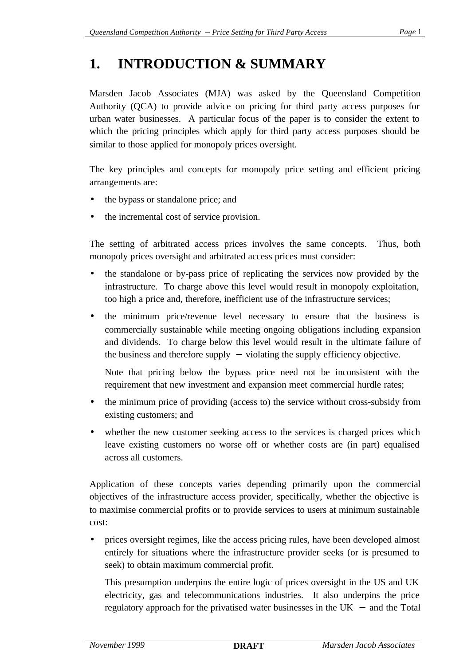# **1. INTRODUCTION & SUMMARY**

Marsden Jacob Associates (MJA) was asked by the Queensland Competition Authority (QCA) to provide advice on pricing for third party access purposes for urban water businesses. A particular focus of the paper is to consider the extent to which the pricing principles which apply for third party access purposes should be similar to those applied for monopoly prices oversight.

The key principles and concepts for monopoly price setting and efficient pricing arrangements are:

- the bypass or standalone price; and
- the incremental cost of service provision.

The setting of arbitrated access prices involves the same concepts. Thus, both monopoly prices oversight and arbitrated access prices must consider:

- the standalone or by-pass price of replicating the services now provided by the infrastructure. To charge above this level would result in monopoly exploitation, too high a price and, therefore, inefficient use of the infrastructure services;
- the minimum price/revenue level necessary to ensure that the business is commercially sustainable while meeting ongoing obligations including expansion and dividends. To charge below this level would result in the ultimate failure of the business and therefore supply − violating the supply efficiency objective.

Note that pricing below the bypass price need not be inconsistent with the requirement that new investment and expansion meet commercial hurdle rates;

- the minimum price of providing (access to) the service without cross-subsidy from existing customers; and
- whether the new customer seeking access to the services is charged prices which leave existing customers no worse off or whether costs are (in part) equalised across all customers.

Application of these concepts varies depending primarily upon the commercial objectives of the infrastructure access provider, specifically, whether the objective is to maximise commercial profits or to provide services to users at minimum sustainable cost:

• prices oversight regimes, like the access pricing rules, have been developed almost entirely for situations where the infrastructure provider seeks (or is presumed to seek) to obtain maximum commercial profit.

This presumption underpins the entire logic of prices oversight in the US and UK electricity, gas and telecommunications industries. It also underpins the price regulatory approach for the privatised water businesses in the UK  $-$  and the Total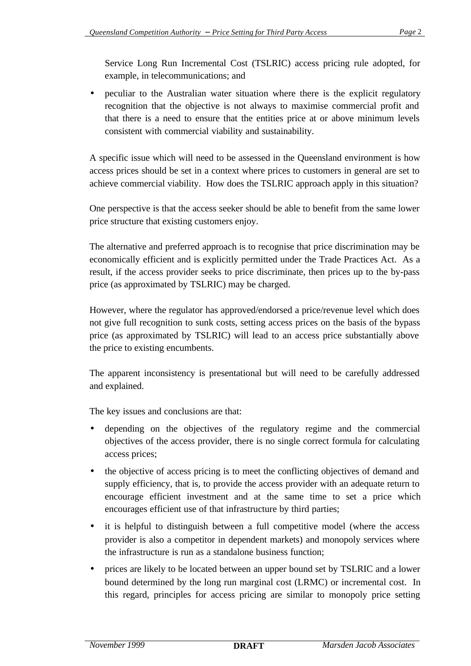Service Long Run Incremental Cost (TSLRIC) access pricing rule adopted, for example, in telecommunications; and

• peculiar to the Australian water situation where there is the explicit regulatory recognition that the objective is not always to maximise commercial profit and that there is a need to ensure that the entities price at or above minimum levels consistent with commercial viability and sustainability.

A specific issue which will need to be assessed in the Queensland environment is how access prices should be set in a context where prices to customers in general are set to achieve commercial viability. How does the TSLRIC approach apply in this situation?

One perspective is that the access seeker should be able to benefit from the same lower price structure that existing customers enjoy.

The alternative and preferred approach is to recognise that price discrimination may be economically efficient and is explicitly permitted under the Trade Practices Act. As a result, if the access provider seeks to price discriminate, then prices up to the by-pass price (as approximated by TSLRIC) may be charged.

However, where the regulator has approved/endorsed a price/revenue level which does not give full recognition to sunk costs, setting access prices on the basis of the bypass price (as approximated by TSLRIC) will lead to an access price substantially above the price to existing encumbents.

The apparent inconsistency is presentational but will need to be carefully addressed and explained.

The key issues and conclusions are that:

- depending on the objectives of the regulatory regime and the commercial objectives of the access provider, there is no single correct formula for calculating access prices;
- the objective of access pricing is to meet the conflicting objectives of demand and supply efficiency, that is, to provide the access provider with an adequate return to encourage efficient investment and at the same time to set a price which encourages efficient use of that infrastructure by third parties;
- it is helpful to distinguish between a full competitive model (where the access provider is also a competitor in dependent markets) and monopoly services where the infrastructure is run as a standalone business function;
- prices are likely to be located between an upper bound set by TSLRIC and a lower bound determined by the long run marginal cost (LRMC) or incremental cost. In this regard, principles for access pricing are similar to monopoly price setting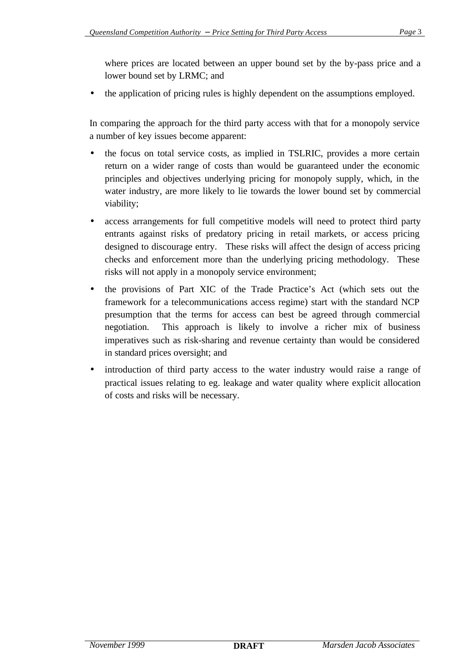where prices are located between an upper bound set by the by-pass price and a lower bound set by LRMC; and

• the application of pricing rules is highly dependent on the assumptions employed.

In comparing the approach for the third party access with that for a monopoly service a number of key issues become apparent:

- the focus on total service costs, as implied in TSLRIC, provides a more certain return on a wider range of costs than would be guaranteed under the economic principles and objectives underlying pricing for monopoly supply, which, in the water industry, are more likely to lie towards the lower bound set by commercial viability;
- access arrangements for full competitive models will need to protect third party entrants against risks of predatory pricing in retail markets, or access pricing designed to discourage entry. These risks will affect the design of access pricing checks and enforcement more than the underlying pricing methodology. These risks will not apply in a monopoly service environment;
- the provisions of Part XIC of the Trade Practice's Act (which sets out the framework for a telecommunications access regime) start with the standard NCP presumption that the terms for access can best be agreed through commercial negotiation. This approach is likely to involve a richer mix of business imperatives such as risk-sharing and revenue certainty than would be considered in standard prices oversight; and
- introduction of third party access to the water industry would raise a range of practical issues relating to eg. leakage and water quality where explicit allocation of costs and risks will be necessary.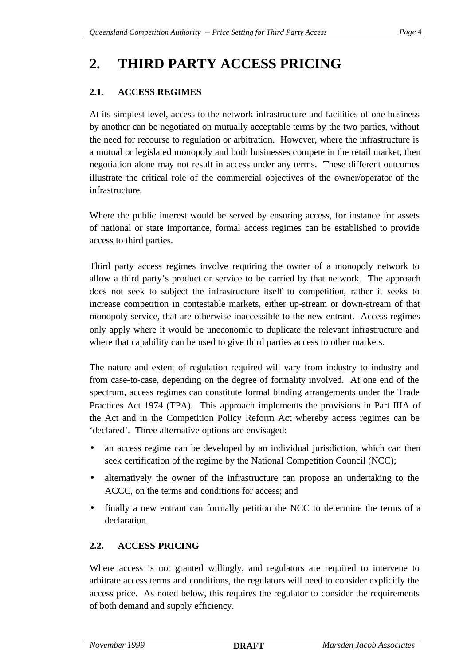# **2. THIRD PARTY ACCESS PRICING**

## **2.1. ACCESS REGIMES**

At its simplest level, access to the network infrastructure and facilities of one business by another can be negotiated on mutually acceptable terms by the two parties, without the need for recourse to regulation or arbitration. However, where the infrastructure is a mutual or legislated monopoly and both businesses compete in the retail market, then negotiation alone may not result in access under any terms. These different outcomes illustrate the critical role of the commercial objectives of the owner/operator of the infrastructure.

Where the public interest would be served by ensuring access, for instance for assets of national or state importance, formal access regimes can be established to provide access to third parties.

Third party access regimes involve requiring the owner of a monopoly network to allow a third party's product or service to be carried by that network. The approach does not seek to subject the infrastructure itself to competition, rather it seeks to increase competition in contestable markets, either up-stream or down-stream of that monopoly service, that are otherwise inaccessible to the new entrant. Access regimes only apply where it would be uneconomic to duplicate the relevant infrastructure and where that capability can be used to give third parties access to other markets.

The nature and extent of regulation required will vary from industry to industry and from case-to-case, depending on the degree of formality involved. At one end of the spectrum, access regimes can constitute formal binding arrangements under the Trade Practices Act 1974 (TPA). This approach implements the provisions in Part IIIA of the Act and in the Competition Policy Reform Act whereby access regimes can be 'declared'. Three alternative options are envisaged:

- an access regime can be developed by an individual jurisdiction, which can then seek certification of the regime by the National Competition Council (NCC);
- alternatively the owner of the infrastructure can propose an undertaking to the ACCC, on the terms and conditions for access; and
- finally a new entrant can formally petition the NCC to determine the terms of a declaration.

### **2.2. ACCESS PRICING**

Where access is not granted willingly, and regulators are required to intervene to arbitrate access terms and conditions, the regulators will need to consider explicitly the access price. As noted below, this requires the regulator to consider the requirements of both demand and supply efficiency.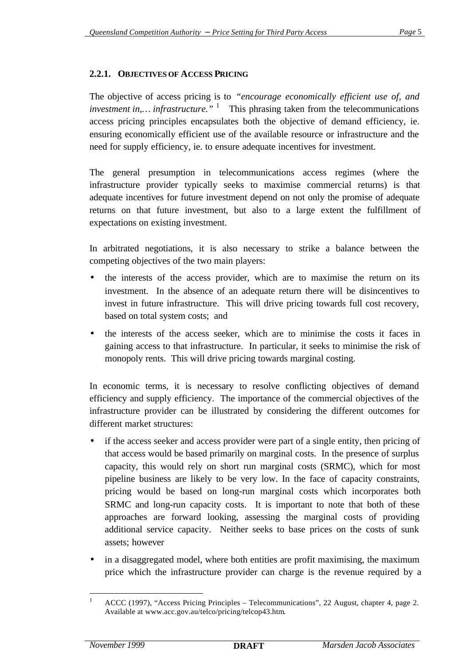#### **2.2.1. OBJECTIVES OF ACCESS PRICING**

The objective of access pricing is to *"encourage economically efficient use of, and investment in,... infrastructure.*" <sup>1</sup> This phrasing taken from the telecommunications access pricing principles encapsulates both the objective of demand efficiency, ie. ensuring economically efficient use of the available resource or infrastructure and the need for supply efficiency, ie. to ensure adequate incentives for investment.

The general presumption in telecommunications access regimes (where the infrastructure provider typically seeks to maximise commercial returns) is that adequate incentives for future investment depend on not only the promise of adequate returns on that future investment, but also to a large extent the fulfillment of expectations on existing investment.

In arbitrated negotiations, it is also necessary to strike a balance between the competing objectives of the two main players:

- the interests of the access provider, which are to maximise the return on its investment. In the absence of an adequate return there will be disincentives to invest in future infrastructure. This will drive pricing towards full cost recovery, based on total system costs; and
- the interests of the access seeker, which are to minimise the costs it faces in gaining access to that infrastructure. In particular, it seeks to minimise the risk of monopoly rents. This will drive pricing towards marginal costing.

In economic terms, it is necessary to resolve conflicting objectives of demand efficiency and supply efficiency. The importance of the commercial objectives of the infrastructure provider can be illustrated by considering the different outcomes for different market structures:

- if the access seeker and access provider were part of a single entity, then pricing of that access would be based primarily on marginal costs. In the presence of surplus capacity, this would rely on short run marginal costs (SRMC), which for most pipeline business are likely to be very low. In the face of capacity constraints, pricing would be based on long-run marginal costs which incorporates both SRMC and long-run capacity costs. It is important to note that both of these approaches are forward looking, assessing the marginal costs of providing additional service capacity. Neither seeks to base prices on the costs of sunk assets; however
- in a disaggregated model, where both entities are profit maximising, the maximum price which the infrastructure provider can charge is the revenue required by a

 $\mathbf{1}$ <sup>1</sup> ACCC (1997), "Access Pricing Principles – Telecommunications", 22 August, chapter 4, page 2. Available at www.acc.gov.au/telco/pricing/telcop43.htm.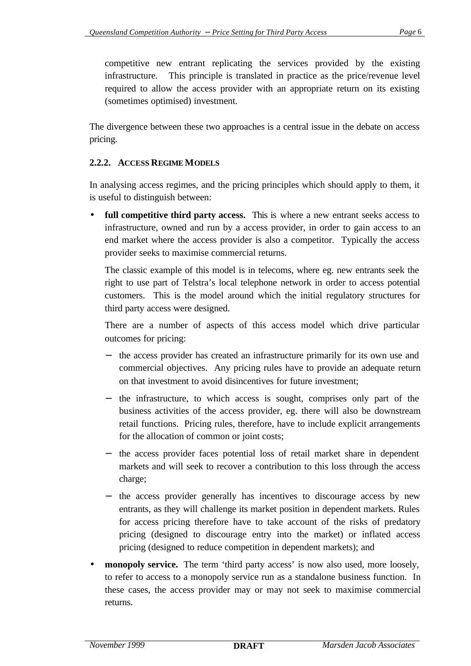competitive new entrant replicating the services provided by the existing infrastructure. This principle is translated in practice as the price/revenue level required to allow the access provider with an appropriate return on its existing (sometimes optimised) investment.

The divergence between these two approaches is a central issue in the debate on access pricing.

#### **2.2.2. ACCESS REGIME MODELS**

In analysing access regimes, and the pricing principles which should apply to them, it is useful to distinguish between:

• **full competitive third party access.** This is where a new entrant seeks access to infrastructure, owned and run by a access provider, in order to gain access to an end market where the access provider is also a competitor. Typically the access provider seeks to maximise commercial returns.

The classic example of this model is in telecoms, where eg. new entrants seek the right to use part of Telstra's local telephone network in order to access potential customers. This is the model around which the initial regulatory structures for third party access were designed.

There are a number of aspects of this access model which drive particular outcomes for pricing:

- the access provider has created an infrastructure primarily for its own use and commercial objectives. Any pricing rules have to provide an adequate return on that investment to avoid disincentives for future investment;
- the infrastructure, to which access is sought, comprises only part of the business activities of the access provider, eg. there will also be downstream retail functions. Pricing rules, therefore, have to include explicit arrangements for the allocation of common or joint costs;
- the access provider faces potential loss of retail market share in dependent markets and will seek to recover a contribution to this loss through the access charge;
- the access provider generally has incentives to discourage access by new entrants, as they will challenge its market position in dependent markets. Rules for access pricing therefore have to take account of the risks of predatory pricing (designed to discourage entry into the market) or inflated access pricing (designed to reduce competition in dependent markets); and
- **monopoly service.** The term 'third party access' is now also used, more loosely, to refer to access to a monopoly service run as a standalone business function. In these cases, the access provider may or may not seek to maximise commercial returns.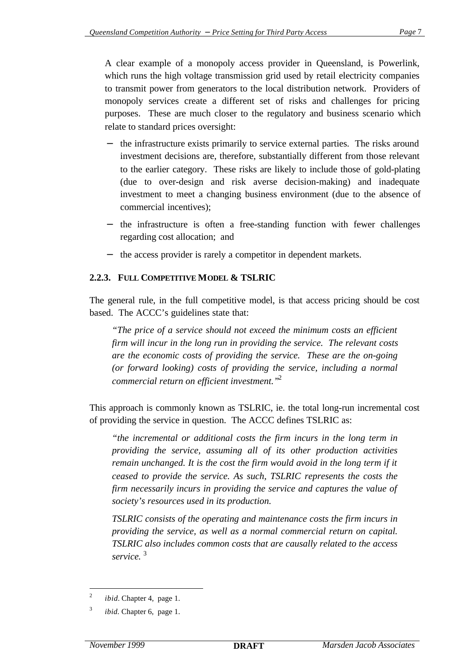A clear example of a monopoly access provider in Queensland, is Powerlink, which runs the high voltage transmission grid used by retail electricity companies to transmit power from generators to the local distribution network. Providers of monopoly services create a different set of risks and challenges for pricing purposes. These are much closer to the regulatory and business scenario which relate to standard prices oversight:

- the infrastructure exists primarily to service external parties. The risks around investment decisions are, therefore, substantially different from those relevant to the earlier category. These risks are likely to include those of gold-plating (due to over-design and risk averse decision-making) and inadequate investment to meet a changing business environment (due to the absence of commercial incentives);
- − the infrastructure is often a free-standing function with fewer challenges regarding cost allocation; and
- the access provider is rarely a competitor in dependent markets.

#### **2.2.3. FULL COMPETITIVE MODEL & TSLRIC**

The general rule, in the full competitive model, is that access pricing should be cost based. The ACCC's guidelines state that:

*"The price of a service should not exceed the minimum costs an efficient firm will incur in the long run in providing the service. The relevant costs are the economic costs of providing the service. These are the on-going (or forward looking) costs of providing the service, including a normal commercial return on efficient investment."*<sup>2</sup>

This approach is commonly known as TSLRIC, ie. the total long-run incremental cost of providing the service in question. The ACCC defines TSLRIC as:

*"the incremental or additional costs the firm incurs in the long term in providing the service, assuming all of its other production activities remain unchanged. It is the cost the firm would avoid in the long term if it ceased to provide the service. As such, TSLRIC represents the costs the firm necessarily incurs in providing the service and captures the value of society's resources used in its production.*

*TSLRIC consists of the operating and maintenance costs the firm incurs in providing the service, as well as a normal commercial return on capital. TSLRIC also includes common costs that are causally related to the access service.* <sup>3</sup>

 $\frac{1}{2}$ *ibid.* Chapter 4, page 1.

<sup>3</sup> *ibid.* Chapter 6, page 1.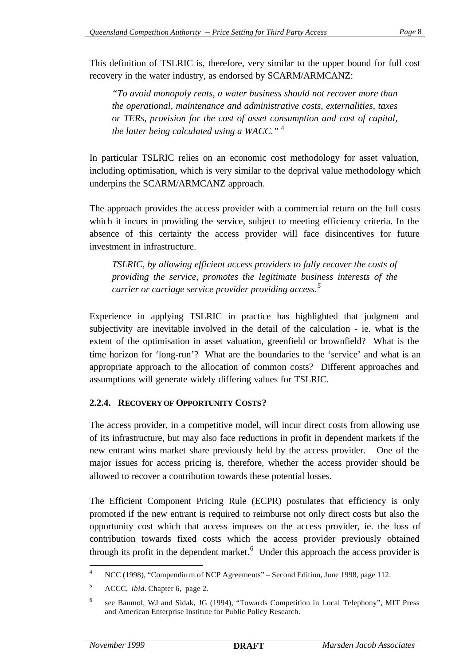This definition of TSLRIC is, therefore, very similar to the upper bound for full cost recovery in the water industry, as endorsed by SCARM/ARMCANZ:

*"To avoid monopoly rents, a water business should not recover more than the operational, maintenance and administrative costs, externalities, taxes or TERs, provision for the cost of asset consumption and cost of capital, the latter being calculated using a WACC."* <sup>4</sup>

In particular TSLRIC relies on an economic cost methodology for asset valuation, including optimisation, which is very similar to the deprival value methodology which underpins the SCARM/ARMCANZ approach.

The approach provides the access provider with a commercial return on the full costs which it incurs in providing the service, subject to meeting efficiency criteria. In the absence of this certainty the access provider will face disincentives for future investment in infrastructure.

*TSLRIC, by allowing efficient access providers to fully recover the costs of providing the service, promotes the legitimate business interests of the carrier or carriage service provider providing access.<sup>5</sup>*

Experience in applying TSLRIC in practice has highlighted that judgment and subjectivity are inevitable involved in the detail of the calculation - ie. what is the extent of the optimisation in asset valuation, greenfield or brownfield? What is the time horizon for 'long-run'? What are the boundaries to the 'service' and what is an appropriate approach to the allocation of common costs? Different approaches and assumptions will generate widely differing values for TSLRIC.

#### **2.2.4. RECOVERY OF OPPORTUNITY COSTS?**

The access provider, in a competitive model, will incur direct costs from allowing use of its infrastructure, but may also face reductions in profit in dependent markets if the new entrant wins market share previously held by the access provider. One of the major issues for access pricing is, therefore, whether the access provider should be allowed to recover a contribution towards these potential losses.

The Efficient Component Pricing Rule (ECPR) postulates that efficiency is only promoted if the new entrant is required to reimburse not only direct costs but also the opportunity cost which that access imposes on the access provider, ie. the loss of contribution towards fixed costs which the access provider previously obtained through its profit in the dependent market.<sup>6</sup> Under this approach the access provider is

l

<sup>&</sup>lt;sup>4</sup> NCC (1998), "Compendium of NCP Agreements" – Second Edition, June 1998, page 112.

<sup>5</sup> ACCC, *ibid.* Chapter 6, page 2.

<sup>6</sup> see Baumol, WJ and Sidak, JG (1994), "Towards Competition in Local Telephony", MIT Press and American Enterprise Institute for Public Policy Research.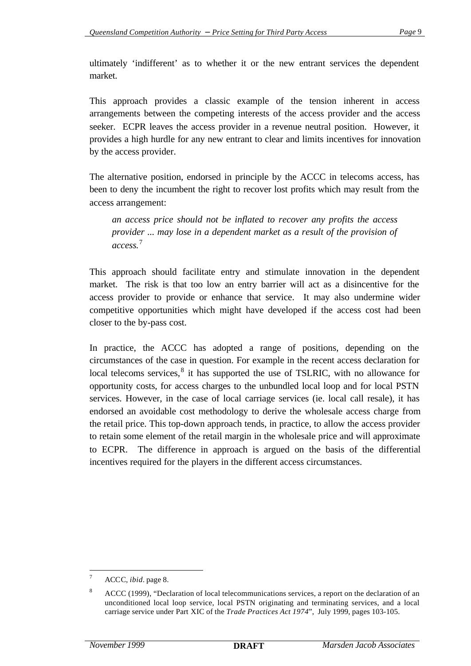ultimately 'indifferent' as to whether it or the new entrant services the dependent market.

This approach provides a classic example of the tension inherent in access arrangements between the competing interests of the access provider and the access seeker. ECPR leaves the access provider in a revenue neutral position. However, it provides a high hurdle for any new entrant to clear and limits incentives for innovation by the access provider.

The alternative position, endorsed in principle by the ACCC in telecoms access, has been to deny the incumbent the right to recover lost profits which may result from the access arrangement:

*an access price should not be inflated to recover any profits the access provider ... may lose in a dependent market as a result of the provision of access.*<sup>7</sup>

This approach should facilitate entry and stimulate innovation in the dependent market. The risk is that too low an entry barrier will act as a disincentive for the access provider to provide or enhance that service. It may also undermine wider competitive opportunities which might have developed if the access cost had been closer to the by-pass cost.

In practice, the ACCC has adopted a range of positions, depending on the circumstances of the case in question. For example in the recent access declaration for local telecoms services,  $8$  it has supported the use of TSLRIC, with no allowance for opportunity costs, for access charges to the unbundled local loop and for local PSTN services. However, in the case of local carriage services (ie. local call resale), it has endorsed an avoidable cost methodology to derive the wholesale access charge from the retail price. This top-down approach tends, in practice, to allow the access provider to retain some element of the retail margin in the wholesale price and will approximate to ECPR. The difference in approach is argued on the basis of the differential incentives required for the players in the different access circumstances.

l

<sup>7</sup> ACCC, *ibid.* page 8.

<sup>&</sup>lt;sup>8</sup> ACCC (1999), "Declaration of local telecommunications services, a report on the declaration of an unconditioned local loop service, local PSTN originating and terminating services, and a local carriage service under Part XIC of the *Trade Practices Act 1974*", July 1999, pages 103-105.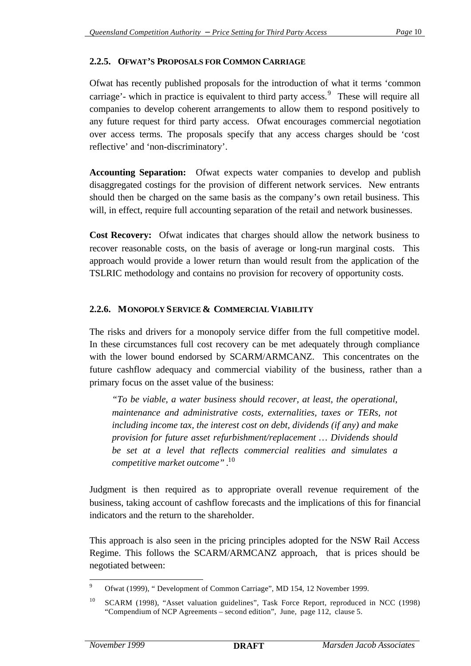#### **2.2.5. OFWAT'S PROPOSALS FOR COMMON CARRIAGE**

Ofwat has recently published proposals for the introduction of what it terms 'common carriage'- which in practice is equivalent to third party access.<sup>9</sup> These will require all companies to develop coherent arrangements to allow them to respond positively to any future request for third party access. Ofwat encourages commercial negotiation over access terms. The proposals specify that any access charges should be 'cost reflective' and 'non-discriminatory'.

**Accounting Separation:** Ofwat expects water companies to develop and publish disaggregated costings for the provision of different network services. New entrants should then be charged on the same basis as the company's own retail business. This will, in effect, require full accounting separation of the retail and network businesses.

**Cost Recovery:** Ofwat indicates that charges should allow the network business to recover reasonable costs, on the basis of average or long-run marginal costs. This approach would provide a lower return than would result from the application of the TSLRIC methodology and contains no provision for recovery of opportunity costs.

#### **2.2.6. MONOPOLY SERVICE & COMMERCIAL VIABILITY**

The risks and drivers for a monopoly service differ from the full competitive model. In these circumstances full cost recovery can be met adequately through compliance with the lower bound endorsed by SCARM/ARMCANZ. This concentrates on the future cashflow adequacy and commercial viability of the business, rather than a primary focus on the asset value of the business:

*"To be viable, a water business should recover, at least, the operational, maintenance and administrative costs, externalities, taxes or TERs, not including income tax, the interest cost on debt, dividends (if any) and make provision for future asset refurbishment/replacement … Dividends should be set at a level that reflects commercial realities and simulates a competitive market outcome" .* 10

Judgment is then required as to appropriate overall revenue requirement of the business, taking account of cashflow forecasts and the implications of this for financial indicators and the return to the shareholder.

This approach is also seen in the pricing principles adopted for the NSW Rail Access Regime. This follows the SCARM/ARMCANZ approach, that is prices should be negotiated between:

 $\overline{9}$ Ofwat (1999), " Development of Common Carriage", MD 154, 12 November 1999.

<sup>&</sup>lt;sup>10</sup> SCARM (1998), "Asset valuation guidelines", Task Force Report, reproduced in NCC (1998) "Compendium of NCP Agreements – second edition", June, page 112, clause 5.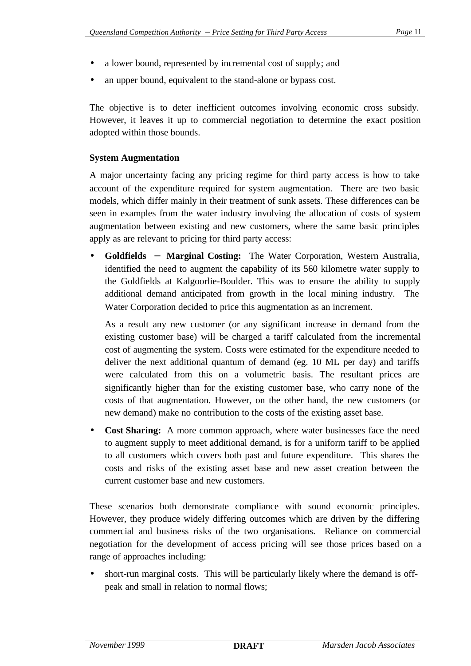- a lower bound, represented by incremental cost of supply; and
- an upper bound, equivalent to the stand-alone or bypass cost.

The objective is to deter inefficient outcomes involving economic cross subsidy. However, it leaves it up to commercial negotiation to determine the exact position adopted within those bounds.

#### **System Augmentation**

A major uncertainty facing any pricing regime for third party access is how to take account of the expenditure required for system augmentation. There are two basic models, which differ mainly in their treatment of sunk assets. These differences can be seen in examples from the water industry involving the allocation of costs of system augmentation between existing and new customers, where the same basic principles apply as are relevant to pricing for third party access:

• **Goldfields - Marginal Costing:** The Water Corporation, Western Australia, identified the need to augment the capability of its 560 kilometre water supply to the Goldfields at Kalgoorlie-Boulder. This was to ensure the ability to supply additional demand anticipated from growth in the local mining industry. The Water Corporation decided to price this augmentation as an increment.

As a result any new customer (or any significant increase in demand from the existing customer base) will be charged a tariff calculated from the incremental cost of augmenting the system. Costs were estimated for the expenditure needed to deliver the next additional quantum of demand (eg. 10 ML per day) and tariffs were calculated from this on a volumetric basis. The resultant prices are significantly higher than for the existing customer base, who carry none of the costs of that augmentation. However, on the other hand, the new customers (or new demand) make no contribution to the costs of the existing asset base.

• **Cost Sharing:** A more common approach, where water businesses face the need to augment supply to meet additional demand, is for a uniform tariff to be applied to all customers which covers both past and future expenditure. This shares the costs and risks of the existing asset base and new asset creation between the current customer base and new customers.

These scenarios both demonstrate compliance with sound economic principles. However, they produce widely differing outcomes which are driven by the differing commercial and business risks of the two organisations. Reliance on commercial negotiation for the development of access pricing will see those prices based on a range of approaches including:

• short-run marginal costs. This will be particularly likely where the demand is offpeak and small in relation to normal flows;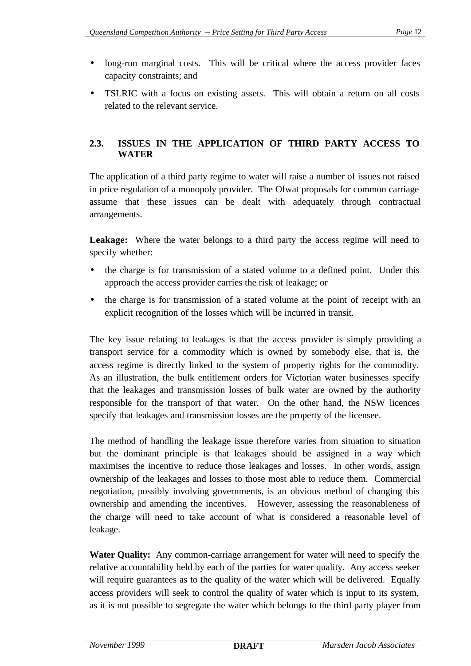- long-run marginal costs. This will be critical where the access provider faces capacity constraints; and
- TSLRIC with a focus on existing assets. This will obtain a return on all costs related to the relevant service.

### **2.3. ISSUES IN THE APPLICATION OF THIRD PARTY ACCESS TO WATER**

The application of a third party regime to water will raise a number of issues not raised in price regulation of a monopoly provider. The Ofwat proposals for common carriage assume that these issues can be dealt with adequately through contractual arrangements.

Leakage: Where the water belongs to a third party the access regime will need to specify whether:

- the charge is for transmission of a stated volume to a defined point. Under this approach the access provider carries the risk of leakage; or
- the charge is for transmission of a stated volume at the point of receipt with an explicit recognition of the losses which will be incurred in transit.

The key issue relating to leakages is that the access provider is simply providing a transport service for a commodity which is owned by somebody else, that is, the access regime is directly linked to the system of property rights for the commodity. As an illustration, the bulk entitlement orders for Victorian water businesses specify that the leakages and transmission losses of bulk water are owned by the authority responsible for the transport of that water. On the other hand, the NSW licences specify that leakages and transmission losses are the property of the licensee.

The method of handling the leakage issue therefore varies from situation to situation but the dominant principle is that leakages should be assigned in a way which maximises the incentive to reduce those leakages and losses. In other words, assign ownership of the leakages and losses to those most able to reduce them. Commercial negotiation, possibly involving governments, is an obvious method of changing this ownership and amending the incentives. However, assessing the reasonableness of the charge will need to take account of what is considered a reasonable level of leakage.

**Water Quality:** Any common-carriage arrangement for water will need to specify the relative accountability held by each of the parties for water quality. Any access seeker will require guarantees as to the quality of the water which will be delivered. Equally access providers will seek to control the quality of water which is input to its system, as it is not possible to segregate the water which belongs to the third party player from